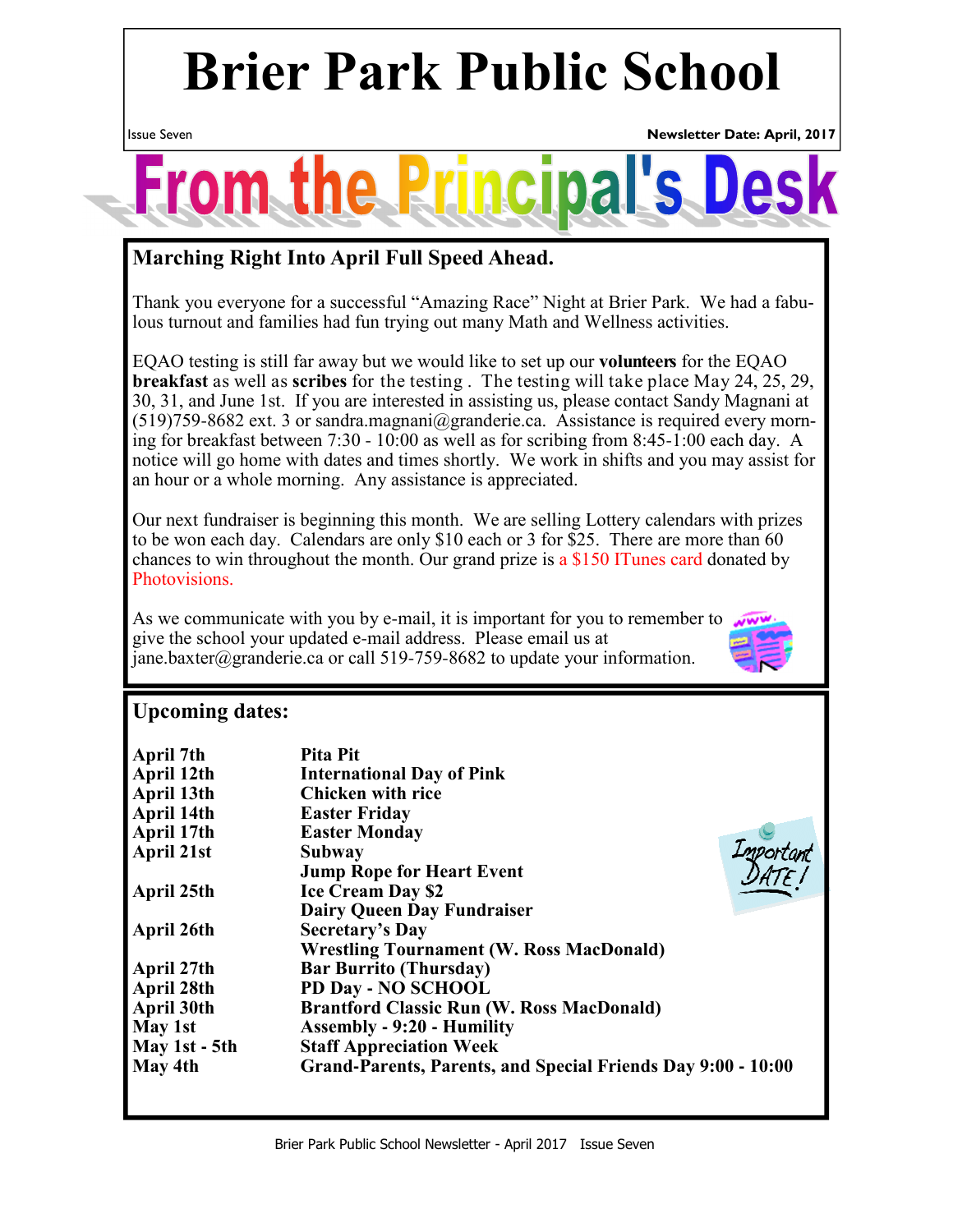# **Brier Park Public School**



### **Marching Right Into April Full Speed Ahead.**

Thank you everyone for a successful "Amazing Race" Night at Brier Park. We had a fabulous turnout and families had fun trying out many Math and Wellness activities.

EQAO testing is still far away but we would like to set up our **volunteers** for the EQAO **breakfast** as well as **scribes** for the testing . The testing will take place May 24, 25, 29, 30, 31, and June 1st. If you are interested in assisting us, please contact Sandy Magnani at  $(519)759-8682$  ext. 3 or sandra.magnani@granderie.ca. Assistance is required every morning for breakfast between 7:30 - 10:00 as well as for scribing from 8:45-1:00 each day. A notice will go home with dates and times shortly. We work in shifts and you may assist for an hour or a whole morning. Any assistance is appreciated.

Our next fundraiser is beginning this month. We are selling Lottery calendars with prizes to be won each day. Calendars are only \$10 each or 3 for \$25. There are more than 60 chances to win throughout the month. Our grand prize is a \$150 ITunes card donated by Photovisions.

As we communicate with you by e-mail, it is important for you to remember to give the school your updated e-mail address. Please email us at jane.baxter@granderie.ca or call 519-759-8682 to update your information.



#### **Upcoming dates:**

| April 7th     | Pita Pit                                                     |
|---------------|--------------------------------------------------------------|
| April 12th    | <b>International Day of Pink</b>                             |
| April 13th    | <b>Chicken with rice</b>                                     |
| April 14th    | <b>Easter Friday</b>                                         |
| April 17th    | <b>Easter Monday</b>                                         |
| April 21st    | Important<br><b>Subway</b>                                   |
|               | <b>Jump Rope for Heart Event</b>                             |
| April 25th    | <b>Ice Cream Day \$2</b>                                     |
|               | <b>Dairy Queen Day Fundraiser</b>                            |
| April 26th    | <b>Secretary's Day</b>                                       |
|               | <b>Wrestling Tournament (W. Ross MacDonald)</b>              |
| April 27th    | <b>Bar Burrito (Thursday)</b>                                |
| April 28th    | PD Day - NO SCHOOL                                           |
| April 30th    | <b>Brantford Classic Run (W. Ross MacDonald)</b>             |
| May 1st       | <b>Assembly - 9:20 - Humility</b>                            |
| May 1st - 5th | <b>Staff Appreciation Week</b>                               |
| May 4th       | Grand-Parents, Parents, and Special Friends Day 9:00 - 10:00 |
|               |                                                              |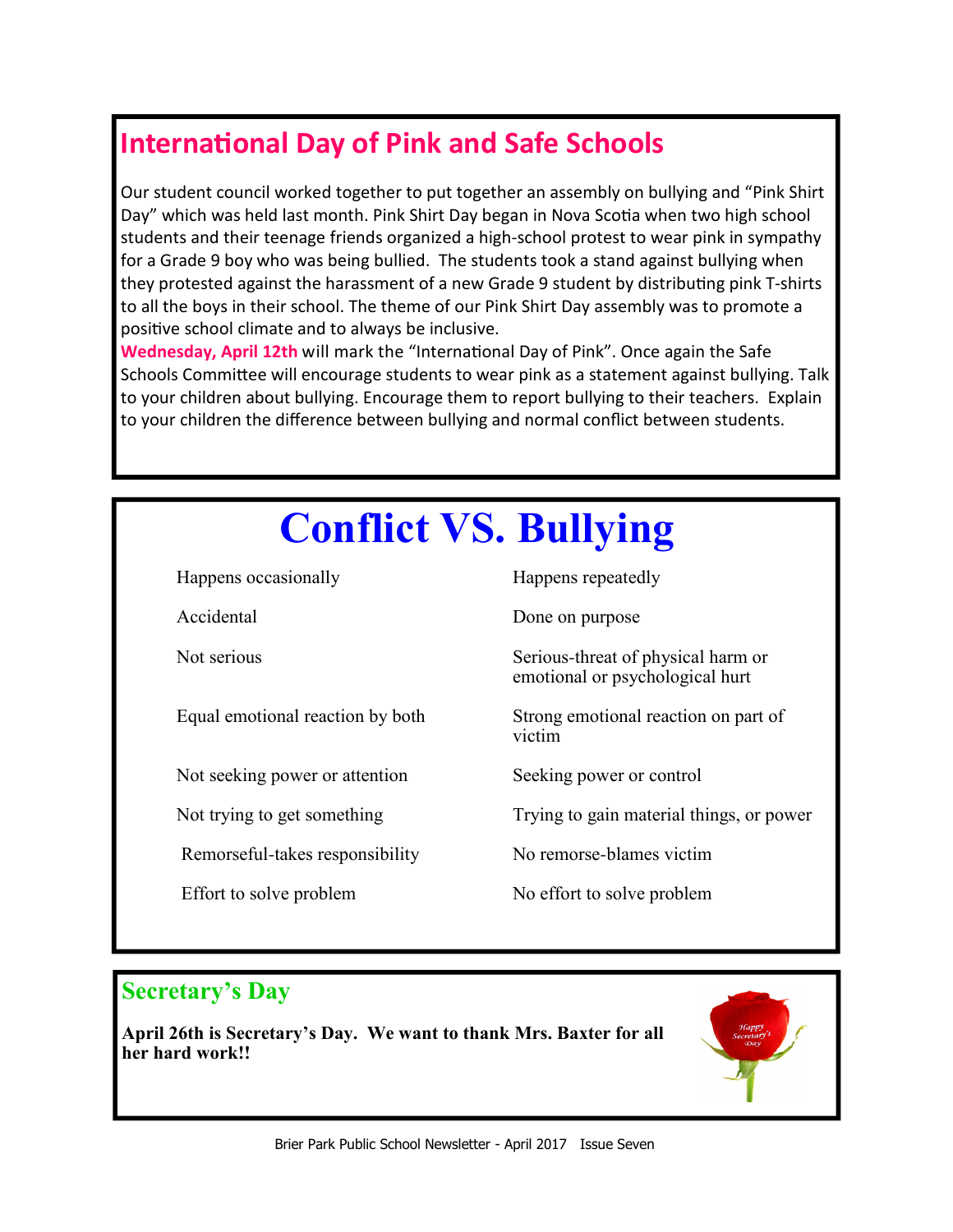### **International Day of Pink and Safe Schools**

Our student council worked together to put together an assembly on bullying and "Pink Shirt Day" which was held last month. Pink Shirt Day began in Nova Scotia when two high school students and their teenage friends organized a high-school protest to wear pink in sympathy for a Grade 9 boy who was being bullied. The students took a stand against bullying when they protested against the harassment of a new Grade 9 student by distributing pink T-shirts to all the boys in their school. The theme of our Pink Shirt Day assembly was to promote a positive school climate and to always be inclusive.

**Wednesday, April 12th will mark the "International Day of Pink". Once again the Safe** Schools Committee will encourage students to wear pink as a statement against bullying. Talk to your children about bullying. Encourage them to report bullying to their teachers. Explain to your children the difference between bullying and normal conflict between students.

# **Conflict VS. Bullying** Happens occasionally Happens repeatedly Accidental Done on purpose Not serious Serious-threat of physical harm or emotional or psychological hurt Equal emotional reaction by both Strong emotional reaction on part of victim<sup>1</sup> Not seeking power or attention Seeking power or control Not trying to get something Trying to gain material things, or power Remorseful-takes responsibility No remorse-blames victim Effort to solve problem No effort to solve problem

#### **Secretary's Day**

**April 26th is Secretary's Day. We want to thank Mrs. Baxter for all her hard work!!**